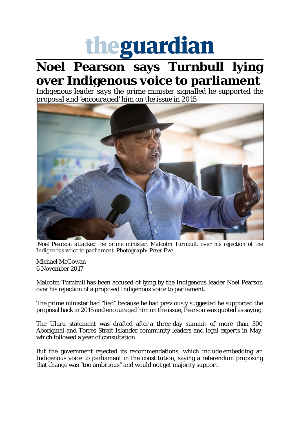## theguardian

## **Noel Pearson says Turnbull lying over Indigenous voice to parliament**

*Indigenous leader says the prime minister signalled he supported the proposal and 'encouraged' him on the issue in 2015*



*Noel Pearson attacked the prime minister, Malcolm Turnbull, over his rejection of the Indigenous voice to parliament. Photograph: Peter Eve*

Michael McGowan 6 November 2017

Malcolm Turnbull has been accused of lying by the Indigenous leader Noel Pearson over his rejection of a proposed Indigenous voice to parliament.

The prime minister had "lied" because he had previously suggested he supported the proposal back in 2015 and encouraged him on the issue, Pearson was quoted as saying.

The Uluru statement was drafted after a three-day summit of more than 300 Aboriginal and Torres Strait Islander community leaders and legal experts in May, which followed a year of consultation.

But the government rejected its recommendations, which include embedding an Indigenous voice to parliament in the constitution, saying a referendum proposing that change was "too ambitious" and would not get majority support.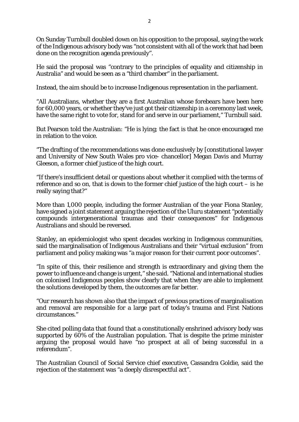On Sunday Turnbull doubled down on his opposition to the proposal, saying the work of the Indigenous advisory body was "not consistent with all of the work that had been done on the recognition agenda previously".

He said the proposal was "contrary to the principles of equality and citizenship in Australia" and would be seen as a "third chamber" in the parliament.

Instead, the aim should be to increase Indigenous representation in the parliament.

"All Australians, whether they are a first Australian whose forebears have been here for 60,000 years, or whether they've just got their citizenship in a ceremony last week, have the same right to vote for, stand for and serve in our parliament," Turnbull said.

But Pearson told the Australian: "He is lying; the fact is that he once encouraged me in relation to the voice.

"The drafting of the recommendations was done exclusively by [constitutional lawyer and University of New South Wales pro vice- chancellor] Megan Davis and Murray Gleeson, a former chief justice of the high court.

"If there's insufficient detail or questions about whether it complied with the terms of reference and so on, that is down to the former chief justice of the high court  $-$  is he really saying that?"

More than 1,000 people, including the former Australian of the year Fiona Stanley, have signed a joint statement arguing the rejection of the Uluru statement "potentially compounds intergenerational traumas and their consequences" for Indigenous Australians and should be reversed.

Stanley, an epidemiologist who spent decades working in Indigenous communities, said the marginalisation of Indigenous Australians and their "virtual exclusion" from parliament and policy making was "a major reason for their current poor outcomes".

"In spite of this, their resilience and strength is extraordinary and giving them the power to influence and change is urgent," she said. "National and international studies on colonised Indigenous peoples show clearly that when they are able to implement the solutions developed by them, the outcomes are far better.

"Our research has shown also that the impact of previous practices of marginalisation and removal are responsible for a large part of today's trauma and First Nations circumstances."

She cited polling data that found that a constitutionally enshrined advisory body was supported by 60% of the Australian population. That is despite the prime minister arguing the proposal would have "no prospect at all of being successful in a referendum".

The Australian Council of Social Service chief executive, Cassandra Goldie, said the rejection of the statement was "a deeply disrespectful act".